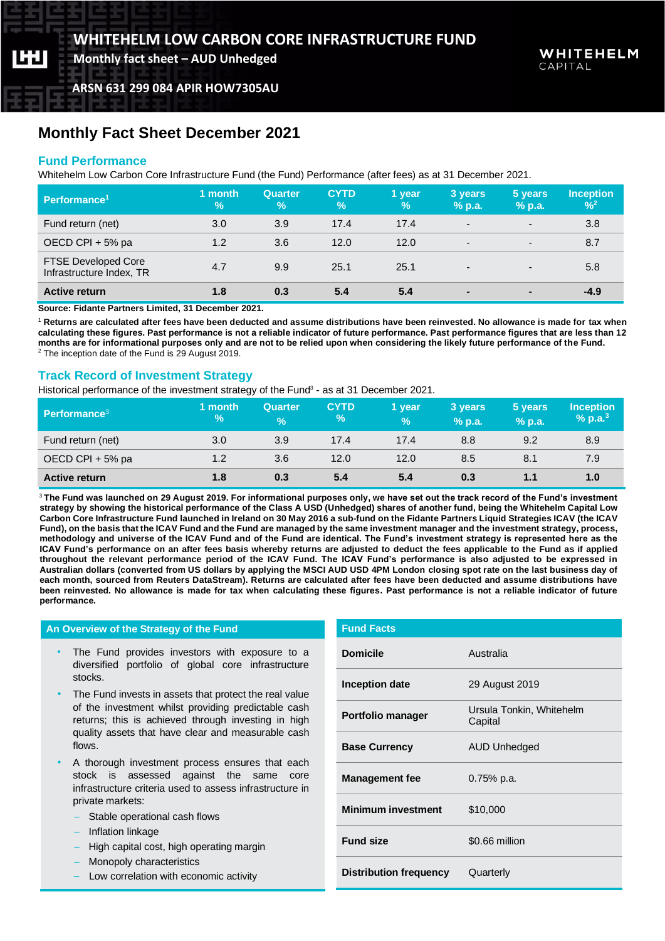**Monthly fact sheet – AUD Unhedged**

**ARSN 631 299 084 APIR HOW7305AU**

# **Monthly Fact Sheet December 2021**

## **Fund Performance**

Whitehelm Low Carbon Core Infrastructure Fund (the Fund) Performance (after fees) as at 31 December 2021.

| Performance <sup>1</sup>                               | 1 month<br>$\frac{9}{6}$ | <b>Quarter</b><br>$\%$ | <b>CYTD</b><br>$\%$ | 1 year<br>l % | 3 years<br>$%$ p.a.      | 5 years<br>$%$ p.a.      | <b>Inception</b><br>$\frac{9}{6}$ <sup>2</sup> |
|--------------------------------------------------------|--------------------------|------------------------|---------------------|---------------|--------------------------|--------------------------|------------------------------------------------|
| Fund return (net)                                      | 3.0                      | 3.9                    | 17.4                | 17.4          | $\blacksquare$           | $\overline{\phantom{0}}$ | 3.8                                            |
| OECD CPI + 5% pa                                       | 1.2                      | 3.6                    | 12.0                | 12.0          | $\overline{\phantom{0}}$ | $\overline{\phantom{0}}$ | 8.7                                            |
| <b>FTSE Developed Core</b><br>Infrastructure Index, TR | 4.7                      | 9.9                    | 25.1                | 25.1          | $\overline{\phantom{0}}$ | $\overline{\phantom{0}}$ | 5.8                                            |
| <b>Active return</b>                                   | 1.8                      | 0.3                    | 5.4                 | 5.4           | $\overline{\phantom{0}}$ | $\overline{\phantom{0}}$ | $-4.9$                                         |

**Source: Fidante Partners Limited, 31 December 2021.**

<sup>1</sup> **Returns are calculated after fees have been deducted and assume distributions have been reinvested. No allowance is made for tax when calculating these figures. Past performance is not a reliable indicator of future performance. Past performance figures that are less than 12 months are for informational purposes only and are not to be relied upon when considering the likely future performance of the Fund.** <sup>2</sup> The inception date of the Fund is 29 August 2019.

## **Track Record of Investment Strategy**

Historical performance of the investment strategy of the Fund<sup>3</sup> - as at 31 December 2021.

| <b>Performance<sup>3</sup></b> | 1 month<br>$\mathcal{V}_0$ | <b>Quarter</b><br>$\%$ | <b>CYTD</b><br>$\frac{9}{6}$ | 1 year<br>$\frac{9}{6}$ | 3 years<br>$%$ p.a. | 5 years<br>$%$ p.a. | <b>Inception</b><br>% p.a. <sup>3</sup> |
|--------------------------------|----------------------------|------------------------|------------------------------|-------------------------|---------------------|---------------------|-----------------------------------------|
| Fund return (net)              | 3.0                        | 3.9                    | 17.4                         | 17.4                    | 8.8                 | 9.2                 | 8.9                                     |
| OECD CPI + 5% pa               | 1.2                        | 3.6                    | 12.0                         | 12.0                    | 8.5                 | 8.1                 | 7.9                                     |
| <b>Active return</b>           | 1.8                        | 0.3                    | 5.4                          | 5.4                     | 0.3                 | 1.1                 | 1.0                                     |

<sup>3</sup>**The Fund was launched on 29 August 2019. For informational purposes only, we have set out the track record of the Fund's investment strategy by showing the historical performance of the Class A USD (Unhedged) shares of another fund, being the Whitehelm Capital Low Carbon Core Infrastructure Fund launched in Ireland on 30 May 2016 a sub-fund on the Fidante Partners Liquid Strategies ICAV (the ICAV Fund), on the basis that the ICAV Fund and the Fund are managed by the same investment manager and the investment strategy, process, methodology and universe of the ICAV Fund and of the Fund are identical. The Fund's investment strategy is represented here as the ICAV Fund's performance on an after fees basis whereby returns are adjusted to deduct the fees applicable to the Fund as if applied throughout the relevant performance period of the ICAV Fund. The ICAV Fund's performance is also adjusted to be expressed in Australian dollars (converted from US dollars by applying the MSCI AUD USD 4PM London closing spot rate on the last business day of each month, sourced from Reuters DataStream). Returns are calculated after fees have been deducted and assume distributions have been reinvested. No allowance is made for tax when calculating these figures. Past performance is not a reliable indicator of future performance.**

#### **An Overview of the Strategy of the Fund**

- The Fund provides investors with exposure to a diversified portfolio of global core infrastructure stocks.
- The Fund invests in assets that protect the real value of the investment whilst providing predictable cash returns; this is achieved through investing in high quality assets that have clear and measurable cash flows.
- A thorough investment process ensures that each stock is assessed against the same core infrastructure criteria used to assess infrastructure in private markets:
	- − Stable operational cash flows
	- − Inflation linkage
	- − High capital cost, high operating margin
	- Monopoly characteristics
	- − Low correlation with economic activity

| <b>Fund Facts</b>             |                                     |
|-------------------------------|-------------------------------------|
| <b>Domicile</b>               | Australia                           |
| Inception date                | 29 August 2019                      |
| Portfolio manager             | Ursula Tonkin, Whitehelm<br>Capital |
| <b>Base Currency</b>          | AUD Unhedged                        |
| <b>Management fee</b>         | $0.75\%$ p.a.                       |
| <b>Minimum investment</b>     | \$10,000                            |
| <b>Fund size</b>              | \$0.66 million                      |
| <b>Distribution frequency</b> | Quarterly                           |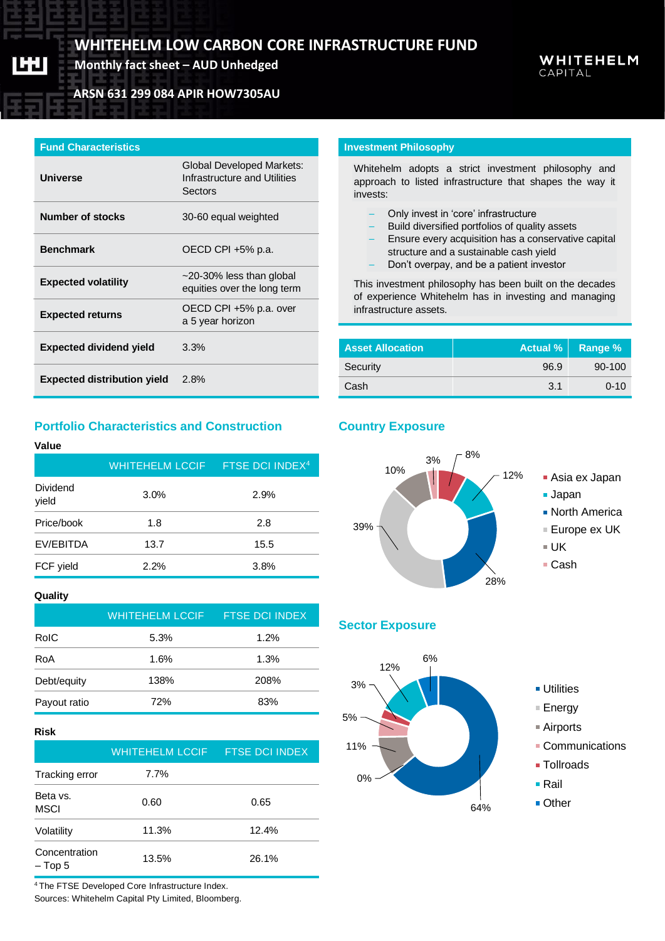**WHITEHELM LOW CARBON CORE INFRASTRUCTURE FUND**

**Monthly fact sheet – AUD Unhedged**

**WHITEHELM**  $CAPITAI$ 

## **ARSN 631 299 084 APIR HOW7305AU**

### **Fund Characteristics**

| Universe                           | <b>Global Developed Markets:</b><br>Infrastructure and Utilities<br>Sectors |
|------------------------------------|-----------------------------------------------------------------------------|
| Number of stocks                   | 30-60 equal weighted                                                        |
| <b>Benchmark</b>                   | OECD CPI +5% p.a.                                                           |
| <b>Expected volatility</b>         | $\sim$ 20-30% less than global<br>equities over the long term               |
| <b>Expected returns</b>            | OECD CPI +5% p.a. over<br>a 5 year horizon                                  |
| <b>Expected dividend yield</b>     | 3.3%                                                                        |
| <b>Expected distribution yield</b> | 2.8%                                                                        |

## **Portfolio Characteristics and Construction**

#### **Value**

|                   | WHITEHELM LCCIF | FTSE DCI INDEX <sup>4</sup> |
|-------------------|-----------------|-----------------------------|
| Dividend<br>yield | 3.0%            | 2.9%                        |
| Price/book        | 1.8             | 2.8                         |
| EV/EBITDA         | 13.7            | 15.5                        |
| FCF yield         | 2.2%            | 3.8%                        |

#### **Quality**

|              | <b>WHITEHELM LCCIF</b> | <b>FTSE DCI INDEX</b> |
|--------------|------------------------|-----------------------|
| RoIC         | 5.3%                   | 1.2%                  |
| RoA          | 1.6%                   | 1.3%                  |
| Debt/equity  | 138%                   | 208%                  |
| Payout ratio | 72%                    | 83%                   |

#### **Risk**

|                            | <b>WHITEHELM LCCIF</b> | <b>FISE DCI INDEX</b> |
|----------------------------|------------------------|-----------------------|
| Tracking error             | $7.7\%$                |                       |
| Beta vs.<br><b>MSCI</b>    | 0.60                   | 0.65                  |
| Volatility                 | 11.3%                  | 12.4%                 |
| Concentration<br>$-$ Top 5 | 13.5%                  | 26.1%                 |

<sup>4</sup>The FTSE Developed Core Infrastructure Index. Sources: Whitehelm Capital Pty Limited, Bloomberg.

#### **Investment Philosophy**

Whitehelm adopts a strict investment philosophy and approach to listed infrastructure that shapes the way it invests:

- − Only invest in 'core' infrastructure
- − Build diversified portfolios of quality assets
- Ensure every acquisition has a conservative capital structure and a sustainable cash yield
- Don't overpay, and be a patient investor

This investment philosophy has been built on the decades of experience Whitehelm has in investing and managing infrastructure assets.

| <b>Asset Allocation</b> |      | Actual %   Range % |
|-------------------------|------|--------------------|
| Security                | 96.9 | $90-100$           |
| Cash                    | 3.1  | $0 - 10$           |

## **Country Exposure**



## **Sector Exposure**

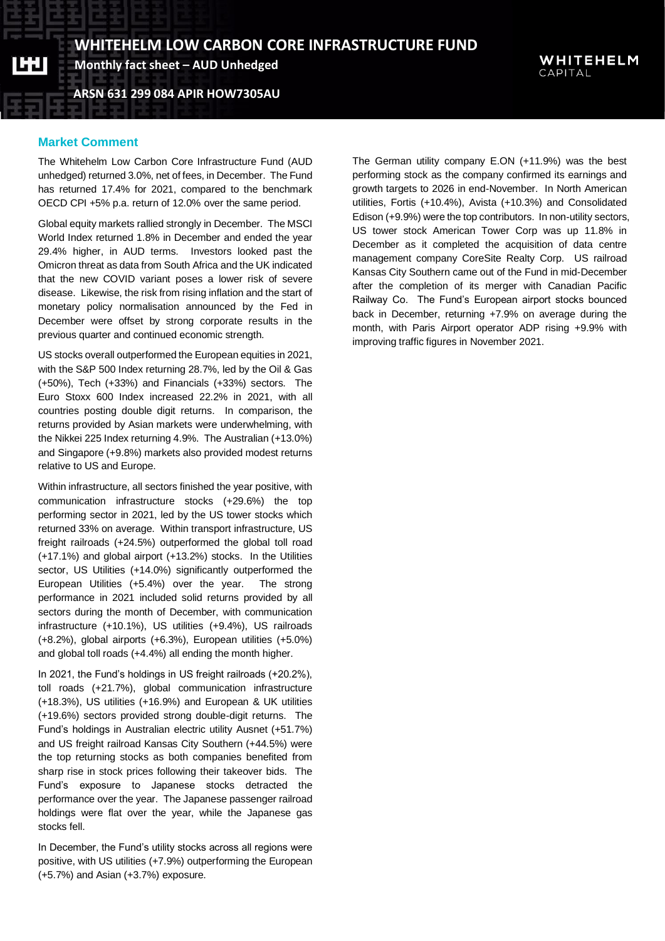**Monthly fact sheet – AUD Unhedged**

**ARSN 631 299 084 APIR HOW7305AU**

## **Market Comment**

The Whitehelm Low Carbon Core Infrastructure Fund (AUD unhedged) returned 3.0%, net of fees, in December. The Fund has returned 17.4% for 2021, compared to the benchmark OECD CPI +5% p.a. return of 12.0% over the same period.

Global equity markets rallied strongly in December. The MSCI World Index returned 1.8% in December and ended the year 29.4% higher, in AUD terms. Investors looked past the Omicron threat as data from South Africa and the UK indicated that the new COVID variant poses a lower risk of severe disease. Likewise, the risk from rising inflation and the start of monetary policy normalisation announced by the Fed in December were offset by strong corporate results in the previous quarter and continued economic strength.

US stocks overall outperformed the European equities in 2021, with the S&P 500 Index returning 28.7%, led by the Oil & Gas (+50%), Tech (+33%) and Financials (+33%) sectors. The Euro Stoxx 600 Index increased 22.2% in 2021, with all countries posting double digit returns. In comparison, the returns provided by Asian markets were underwhelming, with the Nikkei 225 Index returning 4.9%. The Australian (+13.0%) and Singapore (+9.8%) markets also provided modest returns relative to US and Europe.

Within infrastructure, all sectors finished the year positive, with communication infrastructure stocks (+29.6%) the top performing sector in 2021, led by the US tower stocks which returned 33% on average. Within transport infrastructure, US freight railroads (+24.5%) outperformed the global toll road (+17.1%) and global airport (+13.2%) stocks. In the Utilities sector, US Utilities (+14.0%) significantly outperformed the European Utilities (+5.4%) over the year. The strong performance in 2021 included solid returns provided by all sectors during the month of December, with communication infrastructure (+10.1%), US utilities (+9.4%), US railroads (+8.2%), global airports (+6.3%), European utilities (+5.0%) and global toll roads (+4.4%) all ending the month higher.

In 2021, the Fund's holdings in US freight railroads (+20.2%), toll roads (+21.7%), global communication infrastructure (+18.3%), US utilities (+16.9%) and European & UK utilities (+19.6%) sectors provided strong double-digit returns. The Fund's holdings in Australian electric utility Ausnet (+51.7%) and US freight railroad Kansas City Southern (+44.5%) were the top returning stocks as both companies benefited from sharp rise in stock prices following their takeover bids. The Fund's exposure to Japanese stocks detracted the performance over the year. The Japanese passenger railroad holdings were flat over the year, while the Japanese gas stocks fell.

In December, the Fund's utility stocks across all regions were positive, with US utilities (+7.9%) outperforming the European (+5.7%) and Asian (+3.7%) exposure.

The German utility company E.ON (+11.9%) was the best performing stock as the company confirmed its earnings and growth targets to 2026 in end-November. In North American utilities, Fortis (+10.4%), Avista (+10.3%) and Consolidated Edison (+9.9%) were the top contributors. In non-utility sectors, US tower stock American Tower Corp was up 11.8% in December as it completed the acquisition of data centre management company CoreSite Realty Corp. US railroad Kansas City Southern came out of the Fund in mid-December after the completion of its merger with Canadian Pacific Railway Co. The Fund's European airport stocks bounced back in December, returning +7.9% on average during the month, with Paris Airport operator ADP rising +9.9% with improving traffic figures in November 2021.